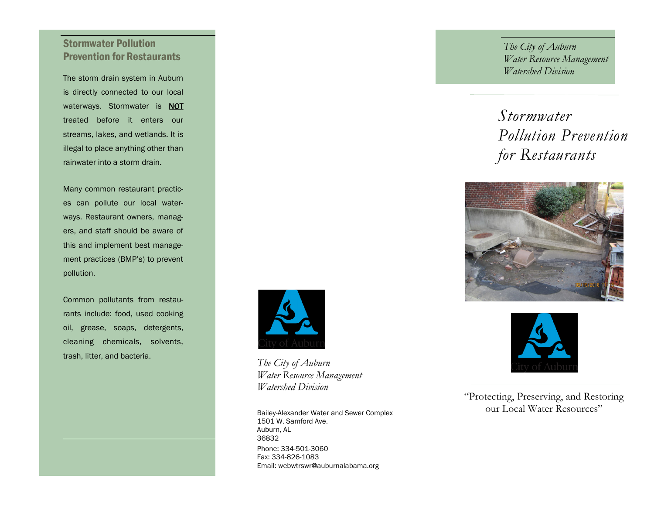# Stormwater Pollution Prevention for Restaurants

The storm drain system in Auburn is directly connected to our local waterways. Stormwater is **NOT** treated before it enters our streams, lakes, and wetlands. It is illegal to place anything other than rainwater into a storm drain.

Many common restaurant practices can pollute our local waterways. Restaurant owners, managers, and staff should be aware of this and implement best management practices (BMP's) to prevent pollution.

Common pollutants from restaurants include: food, used cooking oil, grease, soaps, detergents, cleaning chemicals, solvents, trash, litter, and bacteria.

*The City of Auburn Water Resource Management Watershed Division*

Phone: 334-501-3060 Fax: 334-826-1083 Email: webwtrswr@auburnalabama.org Bailey-Alexander Water and Sewer Complex 1501 W. Samford Ave. Auburn, AL 36832

*The City of Auburn Water Resource Management Watershed Division*

# *Stormwater Pollution Prevention for Restaurants*





"Protecting, Preserving, and Restoring our Local Water Resources"